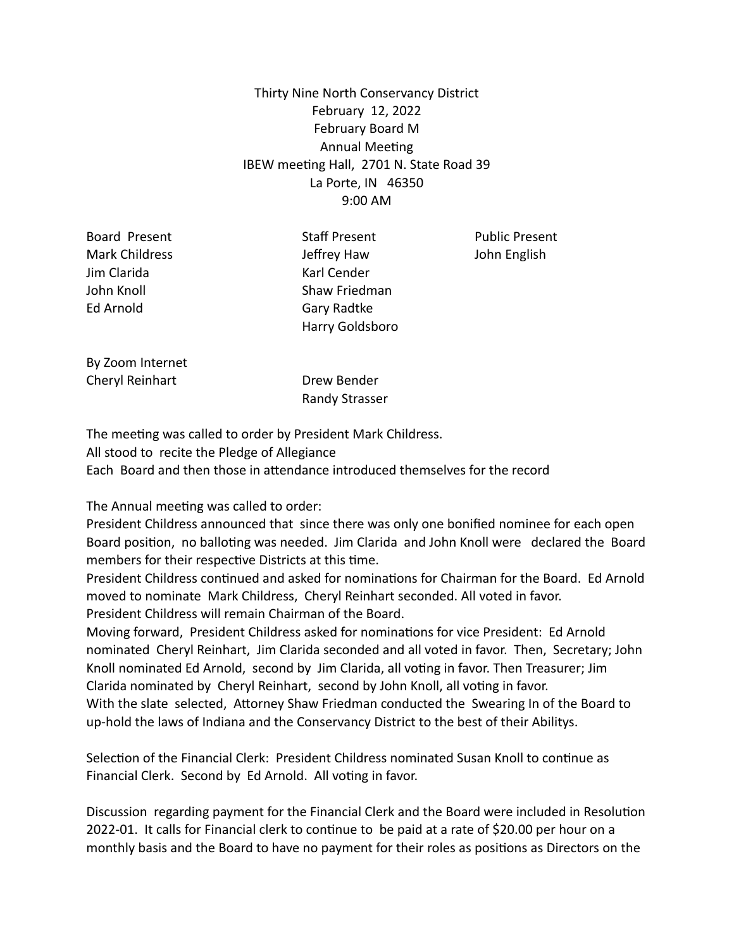# Thirty Nine North Conservancy District February 12, 2022 February Board M Annual Meeting IBEW meeting Hall, 2701 N. State Road 39 La Porte, IN 46350 9:00 AM

Jim Clarida Karl Cender Ed Arnold Gary Radtke

Board Present The Staff Present Public Present Mark Childress Jeffrey Haw John English John Knoll Shaw Friedman Harry Goldsboro

By Zoom Internet Cheryl Reinhart Drew Bender

Randy Strasser

The meeting was called to order by President Mark Childress. All stood to recite the Pledge of Allegiance Each Board and then those in attendance introduced themselves for the record

The Annual meeting was called to order:

President Childress announced that since there was only one bonified nominee for each open Board position, no balloting was needed. Jim Clarida and John Knoll were declared the Board members for their respective Districts at this time.

President Childress continued and asked for nominations for Chairman for the Board. Ed Arnold moved to nominate Mark Childress, Cheryl Reinhart seconded. All voted in favor. President Childress will remain Chairman of the Board.

Moving forward, President Childress asked for nominations for vice President: Ed Arnold nominated Cheryl Reinhart, Jim Clarida seconded and all voted in favor. Then, Secretary; John Knoll nominated Ed Arnold, second by Jim Clarida, all voting in favor. Then Treasurer; Jim Clarida nominated by Cheryl Reinhart, second by John Knoll, all voting in favor. With the slate selected, Attorney Shaw Friedman conducted the Swearing In of the Board to up-hold the laws of Indiana and the Conservancy District to the best of their Abilitys.

Selection of the Financial Clerk: President Childress nominated Susan Knoll to continue as Financial Clerk. Second by Ed Arnold. All voting in favor.

Discussion regarding payment for the Financial Clerk and the Board were included in Resolution 2022-01. It calls for Financial clerk to continue to be paid at a rate of \$20.00 per hour on a monthly basis and the Board to have no payment for their roles as positions as Directors on the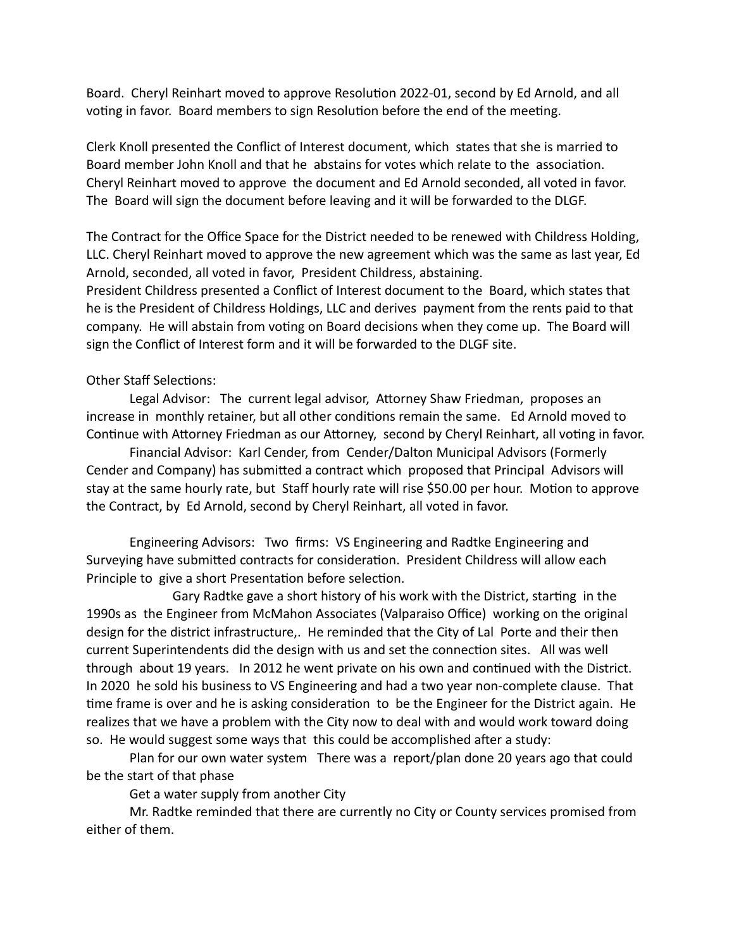Board. Cheryl Reinhart moved to approve Resolution 2022-01, second by Ed Arnold, and all voting in favor. Board members to sign Resolution before the end of the meeting.

Clerk Knoll presented the Conflict of Interest document, which states that she is married to Board member John Knoll and that he abstains for votes which relate to the association. Cheryl Reinhart moved to approve the document and Ed Arnold seconded, all voted in favor. The Board will sign the document before leaving and it will be forwarded to the DLGF.

The Contract for the Office Space for the District needed to be renewed with Childress Holding, LLC. Cheryl Reinhart moved to approve the new agreement which was the same as last year, Ed Arnold, seconded, all voted in favor, President Childress, abstaining.

President Childress presented a Conflict of Interest document to the Board, which states that he is the President of Childress Holdings, LLC and derives payment from the rents paid to that company. He will abstain from voting on Board decisions when they come up. The Board will sign the Conflict of Interest form and it will be forwarded to the DLGF site.

## Other Staff Selections:

Legal Advisor: The current legal advisor, Attorney Shaw Friedman, proposes an increase in monthly retainer, but all other conditions remain the same. Ed Arnold moved to Continue with Attorney Friedman as our Attorney, second by Cheryl Reinhart, all voting in favor.

Financial Advisor: Karl Cender, from Cender/Dalton Municipal Advisors (Formerly Cender and Company) has submitted a contract which proposed that Principal Advisors will stay at the same hourly rate, but Staff hourly rate will rise \$50.00 per hour. Motion to approve the Contract, by Ed Arnold, second by Cheryl Reinhart, all voted in favor.

Engineering Advisors: Two firms: VS Engineering and Radtke Engineering and Surveying have submitted contracts for consideration. President Childress will allow each Principle to give a short Presentation before selection.

Gary Radtke gave a short history of his work with the District, starting in the 1990s as the Engineer from McMahon Associates (Valparaiso Office) working on the original design for the district infrastructure,. He reminded that the City of Lal Porte and their then current Superintendents did the design with us and set the connection sites. All was well through about 19 years. In 2012 he went private on his own and continued with the District. In 2020 he sold his business to VS Engineering and had a two year non-complete clause. That time frame is over and he is asking consideration to be the Engineer for the District again. He realizes that we have a problem with the City now to deal with and would work toward doing so. He would suggest some ways that this could be accomplished after a study:

Plan for our own water system There was a report/plan done 20 years ago that could be the start of that phase

Get a water supply from another City

Mr. Radtke reminded that there are currently no City or County services promised from either of them.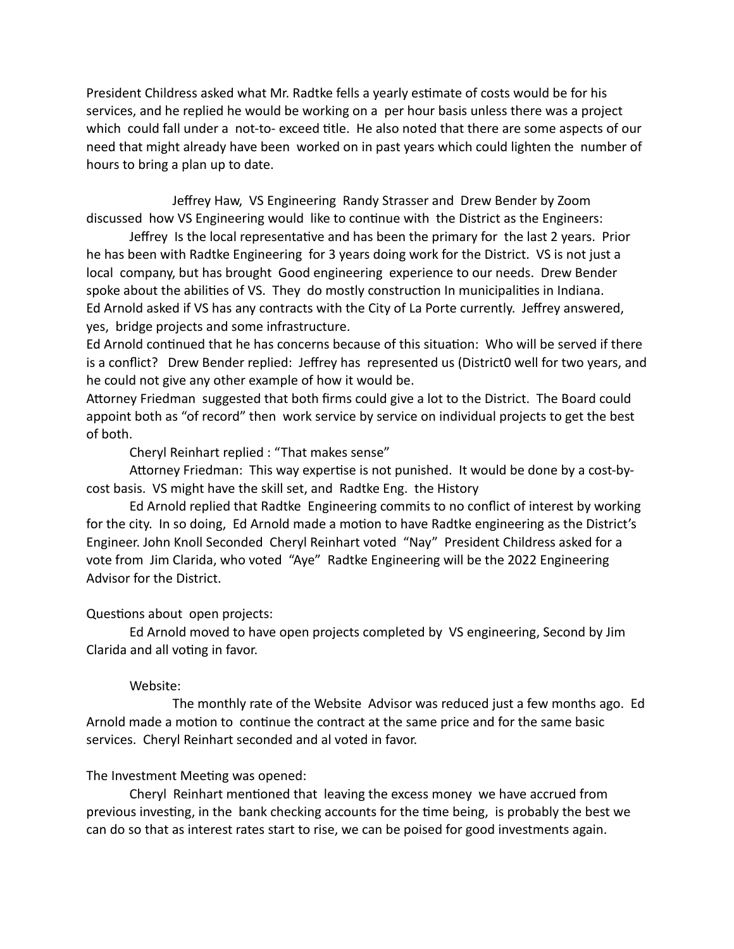President Childress asked what Mr. Radtke fells a yearly estimate of costs would be for his services, and he replied he would be working on a per hour basis unless there was a project which could fall under a not-to- exceed title. He also noted that there are some aspects of our need that might already have been worked on in past years which could lighten the number of hours to bring a plan up to date.

Jeffrey Haw, VS Engineering Randy Strasser and Drew Bender by Zoom discussed how VS Engineering would like to continue with the District as the Engineers:

Jeffrey Is the local representative and has been the primary for the last 2 years. Prior he has been with Radtke Engineering for 3 years doing work for the District. VS is not just a local company, but has brought Good engineering experience to our needs. Drew Bender spoke about the abilities of VS. They do mostly construction In municipalities in Indiana. Ed Arnold asked if VS has any contracts with the City of La Porte currently. Jeffrey answered, yes, bridge projects and some infrastructure.

Ed Arnold continued that he has concerns because of this situation: Who will be served if there is a conflict? Drew Bender replied: Jeffrey has represented us (District0 well for two years, and he could not give any other example of how it would be.

Attorney Friedman suggested that both firms could give a lot to the District. The Board could appoint both as "of record" then work service by service on individual projects to get the best of both.

Cheryl Reinhart replied : "That makes sense"

Attorney Friedman: This way expertise is not punished. It would be done by a cost-bycost basis. VS might have the skill set, and Radtke Eng. the History

Ed Arnold replied that Radtke Engineering commits to no conflict of interest by working for the city. In so doing, Ed Arnold made a motion to have Radtke engineering as the District's Engineer. John Knoll Seconded Cheryl Reinhart voted "Nay" President Childress asked for a vote from Jim Clarida, who voted "Aye" Radtke Engineering will be the 2022 Engineering Advisor for the District.

#### Questions about open projects:

Ed Arnold moved to have open projects completed by VS engineering, Second by Jim Clarida and all voting in favor.

#### Website:

The monthly rate of the Website Advisor was reduced just a few months ago. Ed Arnold made a motion to continue the contract at the same price and for the same basic services. Cheryl Reinhart seconded and al voted in favor.

# The Investment Meeting was opened:

Cheryl Reinhart mentioned that leaving the excess money we have accrued from previous investing, in the bank checking accounts for the time being, is probably the best we can do so that as interest rates start to rise, we can be poised for good investments again.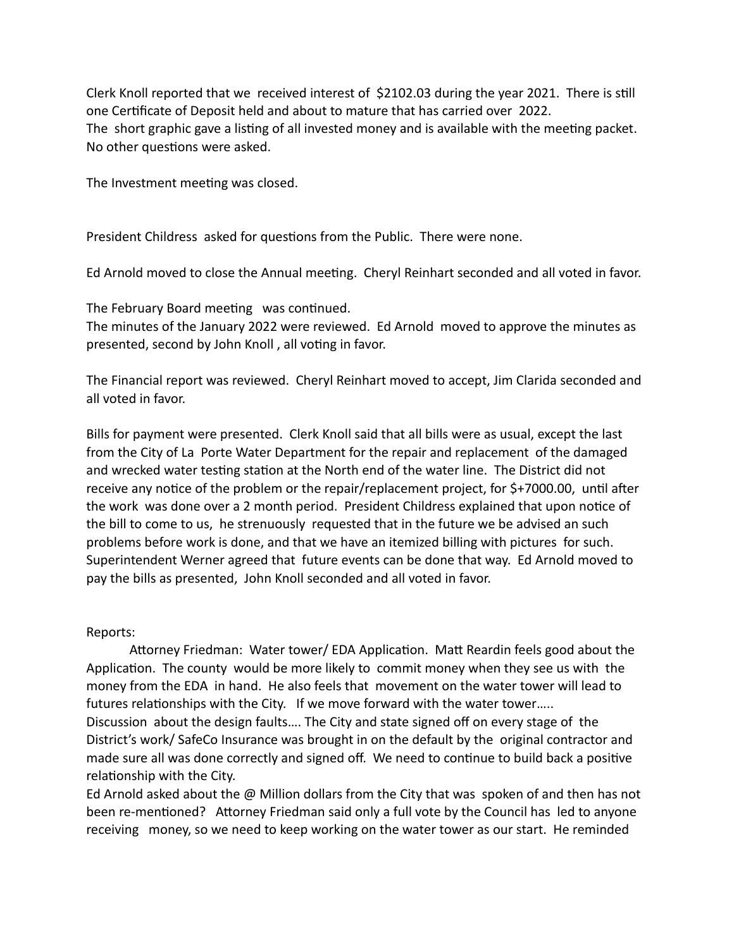Clerk Knoll reported that we received interest of \$2102.03 during the year 2021. There is still one Certificate of Deposit held and about to mature that has carried over 2022. The short graphic gave a listing of all invested money and is available with the meeting packet. No other questions were asked.

The Investment meeting was closed.

President Childress asked for questions from the Public. There were none.

Ed Arnold moved to close the Annual meeting. Cheryl Reinhart seconded and all voted in favor.

The February Board meeting was continued.

The minutes of the January 2022 were reviewed. Ed Arnold moved to approve the minutes as presented, second by John Knoll , all voting in favor.

The Financial report was reviewed. Cheryl Reinhart moved to accept, Jim Clarida seconded and all voted in favor.

Bills for payment were presented. Clerk Knoll said that all bills were as usual, except the last from the City of La Porte Water Department for the repair and replacement of the damaged and wrecked water testing station at the North end of the water line. The District did not receive any notice of the problem or the repair/replacement project, for \$+7000.00, until after the work was done over a 2 month period. President Childress explained that upon notice of the bill to come to us, he strenuously requested that in the future we be advised an such problems before work is done, and that we have an itemized billing with pictures for such. Superintendent Werner agreed that future events can be done that way. Ed Arnold moved to pay the bills as presented, John Knoll seconded and all voted in favor.

#### Reports:

Attorney Friedman: Water tower/ EDA Application. Matt Reardin feels good about the Application. The county would be more likely to commit money when they see us with the money from the EDA in hand. He also feels that movement on the water tower will lead to futures relationships with the City. If we move forward with the water tower….. Discussion about the design faults…. The City and state signed off on every stage of the District's work/ SafeCo Insurance was brought in on the default by the original contractor and made sure all was done correctly and signed off. We need to continue to build back a positive relationship with the City.

Ed Arnold asked about the @ Million dollars from the City that was spoken of and then has not been re-mentioned? Attorney Friedman said only a full vote by the Council has led to anyone receiving money, so we need to keep working on the water tower as our start. He reminded